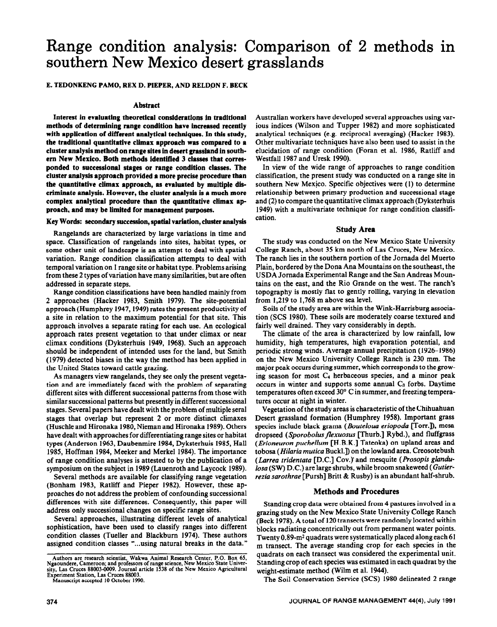# **Range condition analysis: Comparison of 2 methods in southern New Mexico desert grasslands**

#### E. TEDONKENG PAMO, REX D. PIEPER, AND RELDON F. BECK

#### **Abstract**

**Interest in evaluating theoretical considerations in traditional methods of determining range condition have increased recently with applicatfon of different analytical techniques. In this study, the traditional quantitative climax approach was compared to a cluster analysis method on range sites in desert grassland in southem New Mexico. Both methods identified 3 classes that corresponded to successional stages or range condition classes. The cluster analysis approach provided a more precise procedure than the quantitative climax approach, as evaluated by multiple discriminate analysis. However, the cluster analysis is a much more complex analytical procedure than the quantitative climax approach, and** may **be limited for management purposes.** 

#### **Key Words: secondary succession, spatial variation, cluster analysts**

Rangelands are characterized by large variations in time and space. Classification of rangelands into sites, habitat types, or some other unit of landscape is an attempt to deal with spatial variation. Range condition classification attempts to deal with temporal variation on 1 range site or habitat type. Problems arising from these 2 types of variation have many similarities, but are often addressed in separate steps.

Range condition classifications have been handled mainly from 2 approaches (Hacker 1983, Smith 1979). The site-potential approach (Humphrey 1947,1949) rates the present productivity of a site in relation to the maximum potential for that site. This approach involves a separate rating for each use. An ecological approach rates present vegetation to that under climax or near climax conditions (Dyksterhuis 1949, 1968). Such an approach should be independent of intended uses for the land, but Smith (1979) detected biases in the way the method has been applied in the United States toward cattle grazing.

As managers view rangelands, they see only the present vegetation and are immediately faced with the problem of separating different sites with different successional patterns from those with similar successional patterns but presently in different successional stages. Several papers have dealt with the problem of multiple seral stages that overlap but represent 2 or more distinct climaxes (Huschle and Hironaka 1980, Nieman and Hironaka 1989). Others have dealt with approaches for differentiating range sites or habitat types (Anderson 1963, Daubenmire 1984, Dyksterhuis 1985, Hall 1985, Hoffman 1984, Meeker and Merkel 1984). The importance of range condition analyses is attested to by the publication of a symposium on the subject in 1989 (Lauenroth and Laycock 1989).

Several methods are available for classifying range vegetation (Bonham 1983, Ratliff and Pieper 1982). However, these approaches do not address the problem of confounding successional differences with site differences. Consequently, this paper will address only successional changes on specific range sites.

Several approaches, illustrating different levels of analytical sophistication, have been used to classify ranges into different condition classes (Tueller and Blackburn 1974). These authors assigned condition classes "...using natural breaks in the data."

Australian workers have developed several approaches using various indices (Wilson and Tupper 1982) and more sophisticated analytical techniques (e.g. reciprocal averaging) (Hacker 1983). Other multivariate techniques have also been used to assist in the elucidation of range condition (Foran et al. 1986, Ratliff and Westfall 1987 and Uresk 1990).

In view of the wide range of approaches to range condition classification, the present study was conducted on a range site in southern New Mexico. Specific objectives were (1) to determine relationship between primary production and successional stage and (2) to compare the quantitative climax approach (Dyksterhuis 1949) with a multivariate technique for range condition classification.

#### **Study Area**

The study was conducted on the New Mexico State University College Ranch, about 35 km north of Las Cruces, New Mexico. The ranch lies in the southern portion of the Jomada de1 Muerto Plain, bordered by the Dona Ana Mountains on the southeast, the USDA Jomada Experimental Range and the San Andreas Mountains on the east, and the Rio Grande on the west. The ranch's topography is mostly flat to gently rolling, varying in elevation from 1,219 to 1,768 m above sea level.

Soils of the study area are within the Wink-Harrisburg association (SCS 1980). These soils are moderately coarse textured and fairly well drained. They vary considerably in depth.

The climate of the area is characterized by low rainfall, low humidity, high temperatures, high evaporation potential, and periodic strong winds. Average annual precipitation (1926-1986) on the New Mexico University College Ranch is 230 mm, The major peak occurs during summer, which corresponds to the growing season for most  $C_4$  herbaceous species, and a minor peak  $occurs$  in winter and supports some annual  $C_3$  forbs. Daytime temperatures often exceed 30' C in summer, and freezing temperatures occur at night in winter.

Vegetation of the study areas is characteristic of the Chihuahuan Desert grassland formation (Humphrey 1958). Important grass species include black grama (Bouteloua eriopoda [Torr.]), mesa dropseed *(Sporobolus flexuosus* [Thurb.] Rybd.), and fluffgrass (Erioneuron *puchellum* [H.B.K.] Tateoka) on upland areas and tobosa (*Hilaria mutica* Buckl.]) on the lowland area. Creosotebush *(Larreu tridentutu* [D.C.] Cov.) and mesquite (Prosopis *glandulosu* (SW) D.C.) are large shrubs, while broom snakeweed *(Gutier*rezia sarothrae [Pursh] Britt & Rusby) is an abundant half-shrub.

#### **Methods and Procedures**

Standing crop data were obtained from 4 pastures involved in a grazing study on the New Mexico State University College Ranch (Beck 1978). A total of 120 transects were randomly located within blocks radiating concentrically out from permanent water points. Twenty 0.89-m<sup>2</sup> quadrats were systematically placed along each 61 m transect. The average standing crop for each species in the quadrats on each transect was considered the experimental unit. Standing crop of each species was estimated in each quadrat by the weight-estimate method (Wilm et al. 1944).

The Soil Conservation Service (SCS) 1980 delineated 2 range

**Authors are research scientist, Wakwa Animal Research Center, P.O. Box 65,**  Ngaoundere, Cameroon; and professors of range science, New Mexico State Univer-<br>sity, Las Cruces 88003-0009. Journal article 1538 of the New Mexico Agricultural **Experiment Station, Las Cmces 88003. Manuscript accepted 10 October 1990.**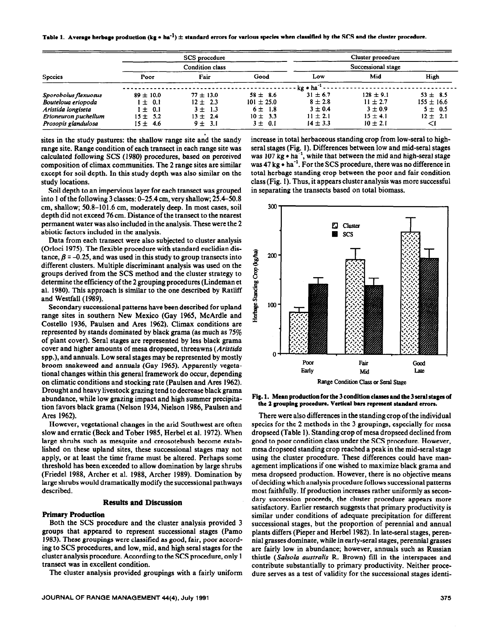|  | Table 1. Average herbage production (kg $\bullet$ ha <sup>-1</sup> ) $\pm$ standard errors for various species when classified by the SCS and the cluster procedure. |  |
|--|----------------------------------------------------------------------------------------------------------------------------------------------------------------------|--|
|--|----------------------------------------------------------------------------------------------------------------------------------------------------------------------|--|

|                      |               | SCS procedure          |                |                       | Cluster procedure  |                |
|----------------------|---------------|------------------------|----------------|-----------------------|--------------------|----------------|
|                      |               | <b>Condition class</b> |                |                       | Successional stage |                |
| <b>Species</b>       | Poor          | Fair                   | Good           | Low                   | Mid                | High           |
|                      |               |                        |                | kg • ha <sup>-1</sup> |                    |                |
| Sporobolus flexuosus | $89 \pm 10.0$ | $77 \pm 13.0$          | $58 \pm 8.6$   | $31 \pm 6.7$          | $128 \pm 9.1$      | $53 \pm 8.5$   |
| Bouteloua eriopoda   | $1 \pm 0.1$   | $12 \pm 2.3$           | $101 \pm 25.0$ | $8 \pm 2.8$           | $11 \pm 2.7$       | $155 \pm 16.6$ |
| Aristida longiseta   | $\pm$ 0.1     | $3 \pm 1.3$            | $6 \pm 1.8$    | $3 \pm 0.4$           | $3 \pm 0.9$        | $5 \pm 0.5$    |
| Erioneuron puchellum | $15 \pm 5.2$  | $13 \pm 2.4$           | $10 \pm 3.3$   | $11 \pm 2.1$          | $15 \pm 4.1$       | $12 \pm 2.1$   |
| Prosopis glandulosa  | $15 \pm 4.6$  | $9 \pm 3.1$            | $3 \pm 0.1$    | $14 \pm 3.3$          | $10 \pm 2.1$       | ⊲              |

sites in the study pastures: the shallow range site and the sandy increase in total herbaceous standing crop from low-seral to high-<br>range site. Range condition of each transect in each range site was seral stages (Fig. 1) range site. Range condition of each transect in each range site was calculated following SCS (1980) procedures, based on perceived was 107 kg  $\bullet$  ha<sup>-1</sup>, while that between the mid and high-seral stage composition of climax communities. The 2 range sites are similar was 47 kg  $\bullet$  ha<sup>-1</sup>. For the SCS procedure, there was no difference in except for soil depth. In this study depth was also similar on the total herbage standing crop between the poor and fair condition study locations. class (Fig. 1). Thus, it appears cluster analysis was more successful -

Soil depth to an impervious layer for each transect was grouped into 1 of the following 3 classes: O-25.4 cm, very shallow; 25.4-50.8 cm, shallow; 50.8-101.6 cm, moderately deep. In most cases, soil depth did not exceed 76 cm. Distance of the transect to the nearest permanent water was also included in the analysis. These were the 2 abiotic factors included in the analysis.

Data from each transect were also subjected to cluster analysis (Orloci 1975). The flexible procedure with standard euclidian distance,  $\beta$  = -0.25, and was used in this study to group transects into different clusters. Multiple discriminant analysis was used on the groups derived from the SCS method and the cluster strategy to determine the efficiency of the 2 grouping procedures (Lindeman et al. 1980). This approach is similar to the one described by Ratliff and Westfall (1989).

Secondary successional patterns have been described for upland range sites in southern New Mexico (Gay 1965, McArdle and Costello 1936, Paulsen and Ares 1962). Climax conditions are represented by stands dominated by black grama (as much as 75% of plant cover). Seral stages are represented by less black grama cover and higher amounts of mesa dropseed, threeawns (Aristida spp.), and annuals. Low seral stages may be represented by mostly broom snakeweed and annuals (Gay 1965). Apparently vegetational changes within this general framework do occur, depending on climatic conditions and stocking rate (Paulsen and Ares 1962). Drought and heavy livestock grazing tend to decrease black grama abundance, while low grazing impact and high summer precipitation favors black grama (Nelson 1934, Nielson 1986, Paulsen and Ares 1962).

However, vegetational changes in the arid Southwest are often slow and erratic (Beck and Tober 1985, Herbel et al. 1972). When large shrubs such as mesquite and creosotebush become established on these upland sites, these successional stages may not apply, or at least the time frame must be altered. Perhaps some threshold has been exceeded to allow domination by large shrubs (Friedel 1988, Archer et al. 1988, Archer 1989). Domination by large shrubs would dramatically modify the successional pathways described.

#### **Results and Discussion**

#### **Primary Production**

Both the SCS procedure and the cluster analysis provided 3 groups that appeared to represent successional stages (Pamo 1983). These groupings were classified as good, fair, poor according to SCS procedures, and low, mid, and high seral stages for the cluster analysis procedure. According to the SCS procedure, only 1 transect was in excellent condition.

The cluster analysis provided groupings with a fairly uniform

in separating the transects based on total biomass.



**Fig. 1. Mean production for the 3 condition classes and the 3 semi stages of the 2 grouping procedure. Vertical bars represent standard errors.** 

There were also differences in the standing crop of the individual species for the 2 methods in the 3 groupings, especially for mesa dropseed (Table 1). Standing crop of mesa dropseed declined from good to poor condition class under the SCS procedure. However, mesa dropseed standing crop reached a peak in the mid-seral stage using the cluster procedure. These differences could have management implications if one wished to maximize black grama and mesa dropseed production. However, there is no objective means of deciding which analysis procedure follows successional patterns most faithfully. If production increases rather uniformly as secondary succession proceeds, the cluster procedure appears more satisfactory. Earlier research suggests that primary productivity is similar under conditions of adequate precipitation for different successional stages, but the proportion of perennial and annual plants differs (Pieper and Herbel 1982). In late-seral stages, perennial grasses dominate, while in early-seral stages, perennial grasses are fairly low in abundance; however, annuals such as Russian thistle (Salsolu *austrulis* R. Brown) fill in the interspaces and contribute substantially to primary productivity. Neither procedure serves as a test of validity for the successional stages identi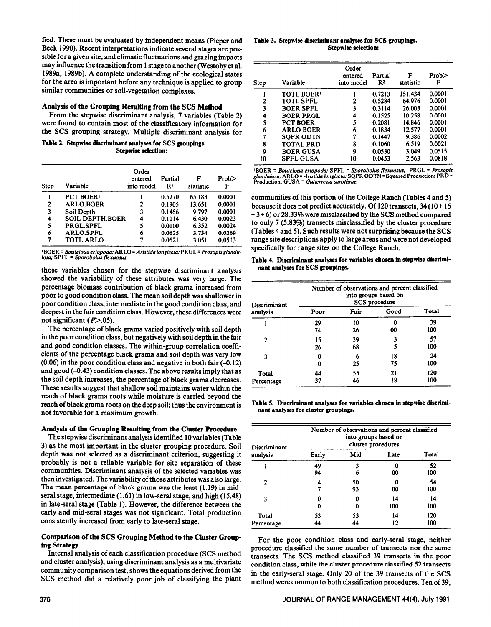fied. These must be evaluated by independent means (Pieper and Beck 1990). Recent interpretations indicate several stages are possible for a given site, and climatic fluctuations and grazing impacts may influence the transition from 1 stage to another (Westoby et al. 1989a, 1989b). A complete understanding of the ecological states for the area is important before any technique is applied to group similar communities or soil-vegetation complexes.

### **Analysis of the Grouping Resulting from the SCS Method**

From the stepwise discriminant analysis, 7 variables (Table 2) were found to contain most of the classificatory information for the SCS grouping strategy. Multiple discriminant analysis for

Table 2. Stepwise discriminant analyses for SCS groupings. **Stepwise selection:** 

| Step | Variable               | Order<br>entered<br>into model | Partial<br>R <sub>2</sub> | F<br>statistic | Prob<br>F |
|------|------------------------|--------------------------------|---------------------------|----------------|-----------|
|      | PCT BOER <sup>1</sup>  |                                | 0.5270                    | 65.183         | 0.0001    |
| 2    | <b>ARLO.BOER</b>       | 2                              | 0.1905                    | 13.651         | 0.0001    |
| 3    | Soil Depth             | 3                              | 0.1456                    | 9.797          | 0.0001    |
| 4    | <b>SOIL DEPTH BOER</b> | 4                              | 0.1014                    | 6.430          | 0.0023    |
| 5    | <b>PRGL.SPFL</b>       | 5                              | 0.0100                    | 6.352          | 0.0024    |
| 6    | <b>ARLO.SPFL</b>       | 6                              | 0.0625                    | 3.734          | 0.0269    |
| 7    | <b>TOTL ARLO</b>       |                                | 0.0521                    | 3.051          | 0.0513    |
|      |                        |                                |                           |                |           |

1 BOER = Bouteloua *eriopoda:* ARLO = *Aristida longiseta;* PRGL = *Prosopisglandulosa*; SPFL = *Sporobolus flexuosus*.

those variables chosen for the stepwise discriminant analysis showed the variability of these attributes was very large. The percentage biomass contribution of black grama increased from poor to good condition class. The mean soil depth was shallower in poor condition class, intermediate in the good condition class, and deepest in the fair condition class. However, these differences were not significant  $(P>0.05)$ .

The percentage of black grama varied positively with soil depth in the poor condition class, but negatively with soil depth in the fair and good condition classes. The within-group correlation coefficients of the percentage black grama and soil depth was very low (0.06) in the poor condition class and negative in both fair (-0.12) and good  $(-0.43)$  condition classes. The above results imply that as the soil depth increases, the percentage of black grama decreases. These results suggest that shallow soil maintains water within the reach of black grama roots while moisture is carried beyond the reach of black grama roots on the deep soil; thus the environment is not favorable for a maximum growth.

## **Analysis of the Grouping Resulting from the Cluster Procedure**

The stepwise discriminant analysis identified 10 variables (Table 3) as the most important in the cluster grouping procedure. Soil depth was not selected as a discriminant criterion, suggesting it probably is not a reliable variable for site separation of these communities. Discriminant analysis of the selected variables was then investigated. The variability of those attributes was also large. The mean percentage of black grama was the least (1.19) in midseral stage, intermediate (1.61) in low-seral stage, and high (15.48) in late-seral stage (Table 1). However, the difference between the early and mid-seral stages was not significant. Total production consistently increased from early to late-seral stage.

## **Comparison of tine SCS Grouping Method to the Cluster Grouping Strategy**

Internal analysis of each classification procedure (SCS method and cluster analysis), using discriminant analysis as a multivariate community comparison test, shows the equations derived from the SCS method did a relatively poor job of classifying the plant

**Table 3. Stepwise discriminant analyses for SCS groupings. Stepwise selection:** 

| Step | Variable          | Order<br>entered<br>into model | Partial<br>R <sup>2</sup> | F<br>statistic | Prob<br>F |
|------|-------------------|--------------------------------|---------------------------|----------------|-----------|
|      | <b>TOTL BOER!</b> |                                | 0.7213                    | 151.434        | 0.0001    |
| 2    | <b>TOTL SPFL</b>  | 2                              | 0.5284                    | 64.976         | 0.0001    |
| 3    | <b>BOER SPFL</b>  | 3                              | 0.3114                    | 26.003         | 0.0001    |
| 4    | <b>BOER PRGL</b>  | 4                              | 0.1525                    | 10.258         | 0.0001    |
| 5    | <b>PCT BOER</b>   | 5                              | 0.2081                    | 14.846         | 0.0001    |
| 6    | <b>ARLO BOER</b>  | 6                              | 0.1834                    | 12.577         | 0.0001    |
| 7    | <b>SOPR ODTN</b>  | 7                              | 0.1447                    | 9.386          | 0.0002    |
| 8    | <b>TOTAL PRD</b>  | 8                              | 0.1060                    | 6.519          | 0.0021    |
| 9    | <b>BOER GUSA</b>  | 9                              | 0.0530                    | 3.049          | 0.0515    |
| 10   | <b>SPFL GUSA</b>  | 10                             | 0.0453                    | 2.563          | 0.0818    |

'BOER = *Bouteloua eriopoda; SPFL = Sporobolus flexuosus;* PRGL = *Prosopis*<br>g*landulosa;* ARLO = *Aristida longiseta;* SQPR ODTN = Squared Production; PRD =<br>Production; GUSA = *Gutierrezia sarothrae.* 

communities of this portion of the College Ranch (Tables 4 and 5) because it does not predict accurately. Of 120 transects, 34 (10 + 15 + 3 + 6) or 28.33% were misclassified by the SCS method compared to only 7 (5.83%) transects misclassified by the cluster procedure (Tables 4 and 5). Such results were not surprising because the SCS range site descriptions apply to large areas and were not developed specifically for range sites on the College Ranch.

| Table 4. Discriminant analyses for variables chosen in stepwise discrimi- |  |  |  |
|---------------------------------------------------------------------------|--|--|--|
| nant analyses for SCS groupings.                                          |  |  |  |

| Discriminant<br>analysis | Number of observations and percent classified<br>into groups based on<br>SCS procedure |      |      |       |  |
|--------------------------|----------------------------------------------------------------------------------------|------|------|-------|--|
|                          | Poor                                                                                   | Fair | Good | Total |  |
|                          | 29                                                                                     | 10   |      | 39    |  |
|                          | 74                                                                                     | 26   | 00   | 100   |  |
| 2                        | 15                                                                                     | 39   |      | 57    |  |
|                          | 26                                                                                     | 68   |      | 100   |  |
| 3                        |                                                                                        | 6    | 18   | 24    |  |
|                          |                                                                                        | 25   | 75   | 100   |  |
| Total                    | 44                                                                                     | 55   | 21   | 120   |  |
| Percentage               | 37                                                                                     | 46   | 18   | 100   |  |

**Table 5. Discriminant analyses for variables chosen in stepwise discriminnnt analyses for cluster groupings.** 

| Discriminant<br>analysis | Number of observations and percent classified<br>into groups based on<br>cluster procedures |     |      |       |  |  |
|--------------------------|---------------------------------------------------------------------------------------------|-----|------|-------|--|--|
|                          | Early                                                                                       | Mid | Late | Total |  |  |
|                          | 49                                                                                          | 3   | Ω    | 52    |  |  |
|                          | 94                                                                                          | 6   | 00   | 100   |  |  |
| 2                        |                                                                                             | 50  |      | 54    |  |  |
|                          |                                                                                             | 93  | 00   | 100   |  |  |
| 3                        |                                                                                             | 0   | 14   | 14    |  |  |
|                          | Λ                                                                                           | o   | 100  | 100   |  |  |
| Total                    | 53                                                                                          | 53  | 14   | 120   |  |  |
| Percentage               | 44                                                                                          | 44  | 12   | 100   |  |  |

For the poor condition class and early-seral stage, neither procedure classified the same number of transects nor the same transects. The SCS method classified **39** transects in the poor condition class, while the cluster procedure classified 52 transects in the early-seral stage. Only 20 of the 39 transects of the SCS method were common to both classification procedures. Ten of 39,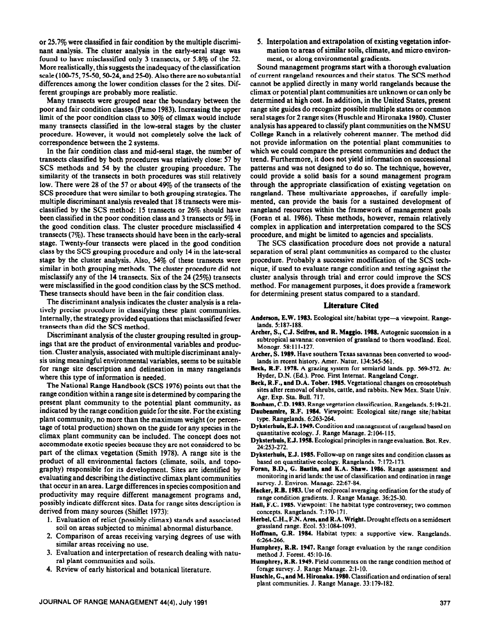or 25.7% were classified in fair condition by the multiple discriminant analysis. The cluster analysis in the early-seral stage was found to have misclassified only 3 transects, or 5.8% of the 52. More realistically, this suggests the inadequacy of the classification scale  $(100-75, 75-50, 50-24, and 25-0)$ . Also there are no substantial differences among the lower condition classes for the 2 sites. Different groupings are probably more realistic.

Many transects were grouped near the boundary between the poor and fair condition classes (Pamo 1983). Increasing the upper limit of the poor condition class to 30% of climax would include many transects classified in the low-seral stages by the cluster procedure. However, it would not completely solve the lack of correspondence between the 2 systems.

In the fair condition class and mid-seral stage, the number of transects classified by both procedures was relatively close: 57 by SCS methods and 54 by the cluster grouping procedure. The similarity of the transects in both procedures was still relatively low. There were 28 of the 57 or about 49% of the transects of the SCS procedure that were similar to both grouping strategies. The multiple discriminant analysis revealed that 18 transects were misclassified by the SCS method: 15 transects or 26% should have been classified in the poor condition class and 3 transects or 5% in the good condition class. The cluster procedure misclassified 4 transects (7%). These transects should have been in the early-seral stage. Twenty-four transects were placed in the good condition class by the SCS grouping procedure and only 14 in the late-seral stage by the cluster analysis. Also,  $54\%$  of these transects were similar in both grouping methods. The cluster procedure did not misclassify any of the 14 transects. Six of the 24 (25%) transects were misclassified in the good condition class by the SCS method. These transects should have been in the fair condition class.

The discriminant analysis indicates the cluster analysis is a relatively precise procedure in classifying these plant communities. Internally, the strategy provided equations that misclassified fewer transects than did the SCS method.

Discriminant analysis of the cluster grouping resulted in groupings that are the product of environmental variables and production. Cluster analysis, associated with multiple discriminant analysis using meaningful environmental variables, seems to be suitable for range site description and delineation in many rangelands where this type of information is needed.

The National Range Handbook (SCS 1976) points out that the range condition within a range site is determined by comparing the present plant community to the potential plant community, as indicated by the range condition guide for the site. For the existing plant community, no more than the maximum weight (or percentage of total production) shown on the guide for any species in the climax plant community can be included. The concept does not accommodate exotic species because they are not considered to be part of the climax vegetation (Smith 1978). A range site is the product of all environmental factors (climate, soils, and topography) responsible for its development. Sites are identified by evaluating and describing the distinctive climax plant communities that occur in an area. Large differences in species composition and productivity may require different management programs and, possibly indicate different sites. Data for range sites description is derived from many sources (Shiflet 1973):

- 1. Evaluation of relict (possibly climax) stands and associated soil on areas subjected to minimal abnormal disturbance.
- 2. Comparison of areas receiving varying degrees of use with similar areas receiving no use.
- 3. Evaluation and interpretation of research dealing with natural plant communities and soils.
- 4. Review of early historical and botanical literature.

5. Interpolation and extrapolation of existing vegetation information to areas of similar soils, climate, and micro environment, or along environmental gradients.

Sound management programs start with a thorough evaluation of current rangeland resources and their status. The SCS method cannot be applied directly in many world rangelands because the climax or potential plant communities are unknown or can only be determined at high cost. In addition, in the United States, present range site guides do recognize possible multiple states or common seral stages for 2 range sites (Huschle and Hironaka 1980). Cluster analysis has appeared to classify plant communities on the NMSU College Ranch in a relatively coherent manner. The method did not provide information on the potential plant communities to which we could compare the present communities and deduct the trend. Furthermore, it does not yield information on successional patterns and was not designed to do so. The technique, however, could provide a solid basis for a sound management program through the appropriate classification of existing vegetation on rangeland. These multivariate approaches, if carefully implemented, can provide the basis for a sustained development of rangeland resources within the framework of management goals (Foran et al. 1986). These methods, however, remain relatively complex in application and interpretation compared to the SCS procedure, and might be limited to agencies and specialists.

The SCS classification procedure does not provide a natural separation of seral plant communities as compared to the cluster procedure. Probably a successive modification of the SCS technique, if used to evaluate range condition and testing against the cluster analysis through trial and error could improve the SCS method. For management purposes, it does provide a framework for determining present status compared to a standard.

#### **Literature Cited**

- Anderson, E.W. 1983. Ecological site/habitat type—a viewpoint. Range**lands. 5:187-188.**
- Archer, S., C.J. Scifres, and R. Maggio. 1988. Autogenic succession in a **subtropical savanna: conversion of grassland to thorn woodland. Bcol. Monogr. 58:ll l-127.**
- **Archer, S. 1989. Have southern Texas savannas been converted to wood**lands in recent history. Amer. Natur. 134:545-561.
- **Beck, R.F. 1978. A graxing system for semiarid lands.** pp. **569-572.** *In:*  **Hyder, D.N. (Ed.). Proc. First Internat. Rangeland Congr.**
- **Beck, R.F., and D.A. Tober. 1985. Vegetational changes on creosotebush sites after removal of shrubs, cattle, and rabbits. New Mex. State Univ. Agr. Exp. Sta. Bull. 717.**

**Bonham, C.D. 1983. Range vegetation classification. Rangelands. 5: 19-21.** 

**Daubenmire, RF. 1984. Viewpoint: Ecological site/range site/habitat type. Rangelands. 6~263-264.** 

- **Dyksterhuis, E.J. 1949. Condition and management of rangeland baaed on quantitative ecology. J. Range Manage. 2:104-l IS.**
- **Dyksterhuis, E J. 1958. Ecological principles in range evaluation. Bot. Rev. 241253-272.**
- **Dyksterhuis, E.J. 1985. Follow-up on range sites and condition classes as based on quantitative ecology. Rangelands. 7:172-173.**
- Foran, B.D., G. Bastin, and K.A. Shaw. 1986. Range assessment and **monitoring in arid lands: the use of classification and ordination in range**  survey. J. Environ. Manage. 22:67-84.
- Hacker, R.B. 1983. Use of reciprocal averaging ordination for the study of **range condition gradients. J. Range Manage. 36:25-30.**
- **Hall, F.C. 1985.** Viewpoint: The habitat type controversey; two common **concepts. Rangelands. 7: 170-171.** \_ -
- **Herbel, C.H., F.N. Ares, and R.A. Wright. Drought effects on a semidesert grassland range. Ecol. 53:1084-1093.**
- **Hoffman, G.R. 1984. Habitat types: a supportive view. Rangelands. 6~264-266.**
- **Humphrey, R.R. 1947. Range forage evaluation by the range condition method J. Forest. 45: 10-16.**
- **Humphrey, R.R. 1949. Field comments on the range condition method of forage survey. J. Range Manage. 2:1-10.**
- **Huschle, G., and M. Hironaka. 1989. Classification and ordination of seral plant communities. J. Range Manage. 33: 179-182.**